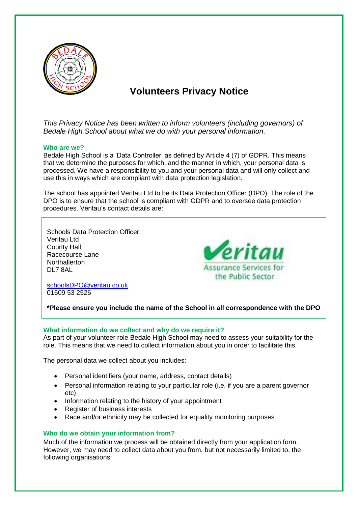

# **Volunteers Privacy Notice**

*This Privacy Notice has been written to inform volunteers (including governors) of Bedale High School about what we do with your personal information.* 

# **Who are we?**

Bedale High School is a 'Data Controller' as defined by Article 4 (7) of GDPR. This means that we determine the purposes for which, and the manner in which, your personal data is processed. We have a responsibility to you and your personal data and will only collect and use this in ways which are compliant with data protection legislation.

The school has appointed Veritau Ltd to be its Data Protection Officer (DPO). The role of the DPO is to ensure that the school is compliant with GDPR and to oversee data protection procedures. Veritau's contact details are:

Schools Data Protection Officer Veritau Ltd County Hall Racecourse Lane **Northallerton** DL7 8AL

Veritau **Assurance Services for** the Public Sector

[schoolsDPO@veritau.co.uk](mailto:schoolsDPO@veritau.co.uk) 01609 53 2526

**\*Please ensure you include the name of the School in all correspondence with the DPO** 

# **What information do we collect and why do we require it?**

As part of your volunteer role Bedale High School may need to assess your suitability for the role. This means that we need to collect information about you in order to facilitate this.

The personal data we collect about you includes:

- Personal identifiers (your name, address, contact details)
- Personal information relating to your particular role (i.e. if you are a parent governor etc)
- Information relating to the history of your appointment
- Register of business interests
- Race and/or ethnicity may be collected for equality monitoring purposes

# **Who do we obtain your information from?**

Much of the information we process will be obtained directly from your application form. However, we may need to collect data about you from, but not necessarily limited to, the following organisations: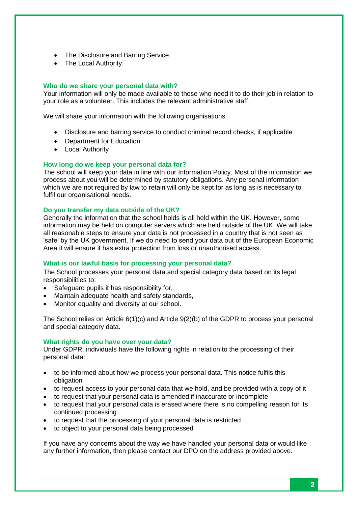- The Disclosure and Barring Service,
- The Local Authority.

## **Who do we share your personal data with?**

Your information will only be made available to those who need it to do their job in relation to your role as a volunteer. This includes the relevant administrative staff.

We will share your information with the following organisations

- Disclosure and barring service to conduct criminal record checks, if applicable
- Department for Education
- Local Authority

### **How long do we keep your personal data for?**

The school will keep your data in line with our Information Policy. Most of the information we process about you will be determined by statutory obligations. Any personal information which we are not required by law to retain will only be kept for as long as is necessary to fulfil our organisational needs.

### **Do you transfer my data outside of the UK?**

Generally the information that the school holds is all held within the UK. However, some information may be held on computer servers which are held outside of the UK. We will take all reasonable steps to ensure your data is not processed in a country that is not seen as 'safe' by the UK government. If we do need to send your data out of the European Economic Area it will ensure it has extra protection from loss or unauthorised access.

## **What is our lawful basis for processing your personal data?**

The School processes your personal data and special category data based on its legal responsibilities to:

- Safeguard pupils it has responsibility for,
- Maintain adequate health and safety standards,
- Monitor equality and diversity at our school.

The School relies on Article 6(1)(c) and Article 9(2)(b) of the GDPR to process your personal and special category data.

#### **What rights do you have over your data?**

Under GDPR, individuals have the following rights in relation to the processing of their personal data:

- to be informed about how we process your personal data. This notice fulfils this obligation
- to request access to your personal data that we hold, and be provided with a copy of it
- to request that your personal data is amended if inaccurate or incomplete
- to request that your personal data is erased where there is no compelling reason for its continued processing
- to request that the processing of your personal data is restricted
- to object to your personal data being processed

If you have any concerns about the way we have handled your personal data or would like any further information, then please contact our DPO on the address provided above.